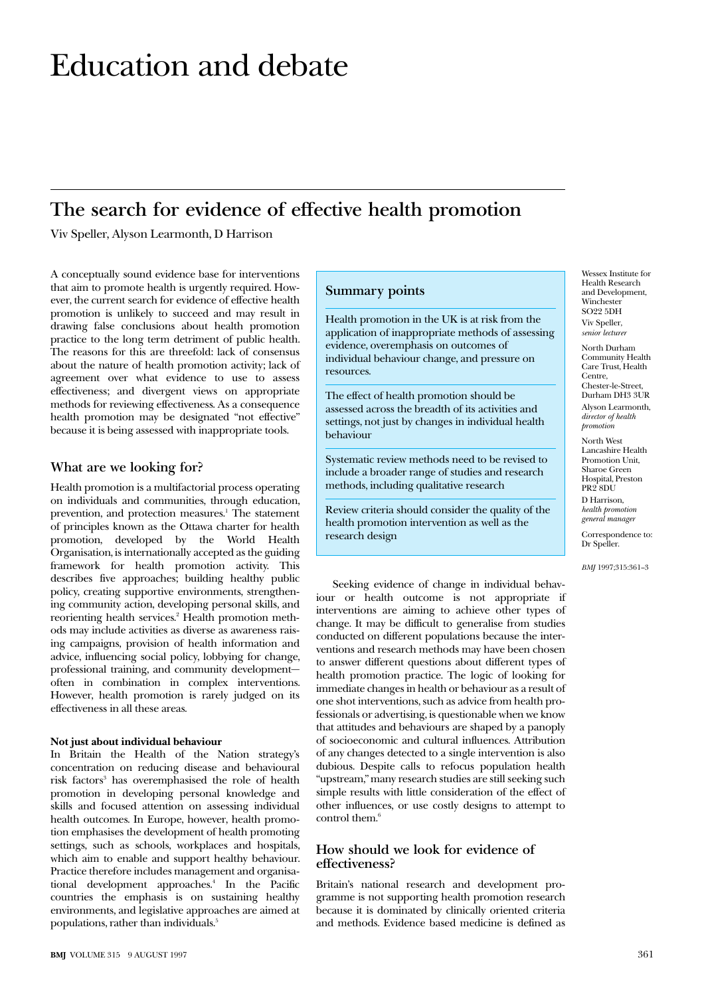# Education and debate

# **The search for evidence of effective health promotion**

Viv Speller, Alyson Learmonth, D Harrison

A conceptually sound evidence base for interventions that aim to promote health is urgently required. However, the current search for evidence of effective health promotion is unlikely to succeed and may result in drawing false conclusions about health promotion practice to the long term detriment of public health. The reasons for this are threefold: lack of consensus about the nature of health promotion activity; lack of agreement over what evidence to use to assess effectiveness; and divergent views on appropriate methods for reviewing effectiveness. As a consequence health promotion may be designated "not effective" because it is being assessed with inappropriate tools.

# **What are we looking for?**

Health promotion is a multifactorial process operating on individuals and communities, through education, prevention, and protection measures. $\frac{1}{1}$  The statement of principles known as the Ottawa charter for health promotion, developed by the World Health Organisation, is internationally accepted as the guiding framework for health promotion activity. This describes five approaches; building healthy public policy, creating supportive environments, strengthening community action, developing personal skills, and reorienting health services.2 Health promotion methods may include activities as diverse as awareness raising campaigns, provision of health information and advice, influencing social policy, lobbying for change, professional training, and community development often in combination in complex interventions. However, health promotion is rarely judged on its effectiveness in all these areas.

## **Not just about individual behaviour**

In Britain the Health of the Nation strategy's concentration on reducing disease and behavioural risk factors<sup>3</sup> has overemphasised the role of health promotion in developing personal knowledge and skills and focused attention on assessing individual health outcomes. In Europe, however, health promotion emphasises the development of health promoting settings, such as schools, workplaces and hospitals, which aim to enable and support healthy behaviour. Practice therefore includes management and organisational development approaches.<sup>4</sup> In the Pacific countries the emphasis is on sustaining healthy environments, and legislative approaches are aimed at populations, rather than individuals.<sup>5</sup>

# **Summary points**

Health promotion in the UK is at risk from the application of inappropriate methods of assessing evidence, overemphasis on outcomes of individual behaviour change, and pressure on resources.

The effect of health promotion should be assessed across the breadth of its activities and settings, not just by changes in individual health behaviour

Systematic review methods need to be revised to include a broader range of studies and research methods, including qualitative research

Review criteria should consider the quality of the health promotion intervention as well as the research design

Seeking evidence of change in individual behaviour or health outcome is not appropriate if interventions are aiming to achieve other types of change. It may be difficult to generalise from studies conducted on different populations because the interventions and research methods may have been chosen to answer different questions about different types of health promotion practice. The logic of looking for immediate changes in health or behaviour as a result of one shot interventions, such as advice from health professionals or advertising, is questionable when we know that attitudes and behaviours are shaped by a panoply of socioeconomic and cultural influences. Attribution of any changes detected to a single intervention is also dubious. Despite calls to refocus population health "upstream," many research studies are still seeking such simple results with little consideration of the effect of other influences, or use costly designs to attempt to control them.<sup>6</sup>

# **How should we look for evidence of effectiveness?**

Britain's national research and development programme is not supporting health promotion research because it is dominated by clinically oriented criteria and methods. Evidence based medicine is defined as

Wessex Institute for Health Research and Development, Winchester SO22 5DH Viv Speller, *senior lecturer*

North Durham Community Health Care Trust, Health Centre, Chester-le-Street, Durham DH3 3UR Alyson Learmonth, *director of health promotion*

North West Lancashire Health Promotion Unit, Sharoe Green Hospital, Preston PR2 8DU D Harrison, *health promotion general manager*

Correspondence to: Dr Speller.

*BMJ* 1997;315:361–3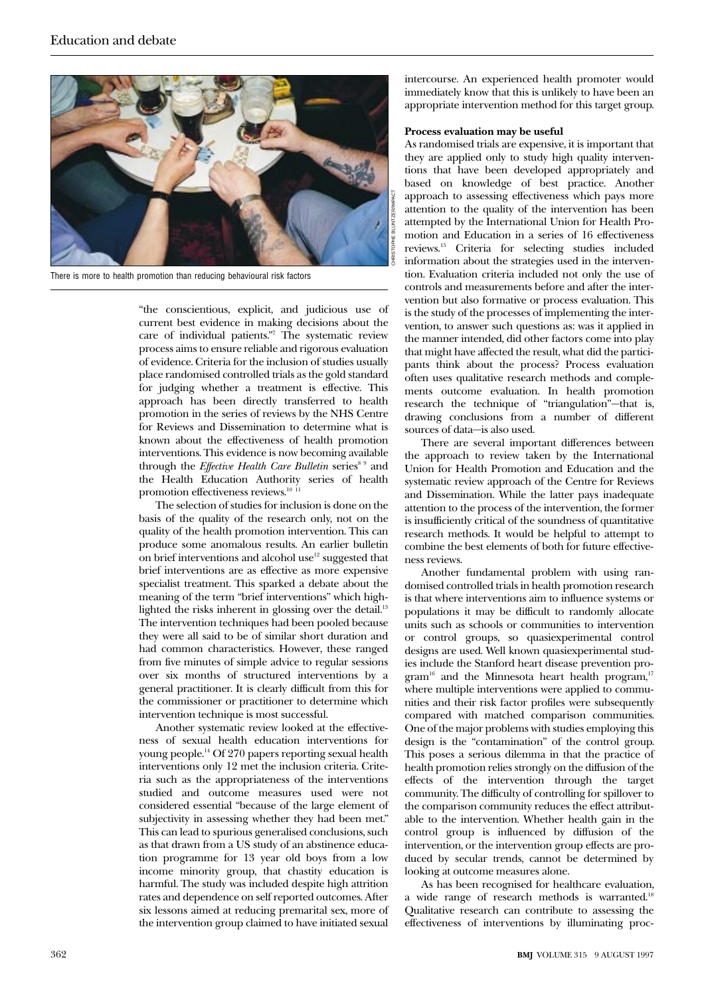

"the conscientious, explicit, and judicious use of current best evidence in making decisions about the care of individual patients."7 The systematic review process aims to ensure reliable and rigorous evaluation of evidence. Criteria for the inclusion of studies usually place randomised controlled trials as the gold standard for judging whether a treatment is effective. This approach has been directly transferred to health promotion in the series of reviews by the NHS Centre for Reviews and Dissemination to determine what is known about the effectiveness of health promotion interventions. This evidence is now becoming available through the *Effective Health Care Bulletin* series<sup>8 9</sup> and the Health Education Authority series of health promotion effectiveness reviews.<sup>10 11</sup>

The selection of studies for inclusion is done on the basis of the quality of the research only, not on the quality of the health promotion intervention. This can produce some anomalous results. An earlier bulletin on brief interventions and alcohol use<sup>12</sup> suggested that brief interventions are as effective as more expensive specialist treatment. This sparked a debate about the meaning of the term "brief interventions" which highlighted the risks inherent in glossing over the detail. $13$ The intervention techniques had been pooled because they were all said to be of similar short duration and had common characteristics. However, these ranged from five minutes of simple advice to regular sessions over six months of structured interventions by a general practitioner. It is clearly difficult from this for the commissioner or practitioner to determine which intervention technique is most successful.

Another systematic review looked at the effectiveness of sexual health education interventions for young people.14 Of 270 papers reporting sexual health interventions only 12 met the inclusion criteria. Criteria such as the appropriateness of the interventions studied and outcome measures used were not considered essential "because of the large element of subjectivity in assessing whether they had been met." This can lead to spurious generalised conclusions, such as that drawn from a US study of an abstinence education programme for 13 year old boys from a low income minority group, that chastity education is harmful. The study was included despite high attrition rates and dependence on self reported outcomes. After six lessons aimed at reducing premarital sex, more of the intervention group claimed to have initiated sexual

intercourse. An experienced health promoter would immediately know that this is unlikely to have been an appropriate intervention method for this target group.

#### **Process evaluation may be useful**

As randomised trials are expensive, it is important that they are applied only to study high quality interventions that have been developed appropriately and based on knowledge of best practice. Another approach to assessing effectiveness which pays more attention to the quality of the intervention has been attempted by the International Union for Health Promotion and Education in a series of 16 effectiveness reviews.15 Criteria for selecting studies included information about the strategies used in the intervention. Evaluation criteria included not only the use of controls and measurements before and after the intervention but also formative or process evaluation. This is the study of the processes of implementing the intervention, to answer such questions as: was it applied in the manner intended, did other factors come into play that might have affected the result, what did the participants think about the process? Process evaluation often uses qualitative research methods and complements outcome evaluation. In health promotion research the technique of "triangulation"—that is, drawing conclusions from a number of different sources of data—is also used.

There are several important differences between the approach to review taken by the International Union for Health Promotion and Education and the systematic review approach of the Centre for Reviews and Dissemination. While the latter pays inadequate attention to the process of the intervention, the former is insufficiently critical of the soundness of quantitative research methods. It would be helpful to attempt to combine the best elements of both for future effectiveness reviews.

Another fundamental problem with using randomised controlled trials in health promotion research is that where interventions aim to influence systems or populations it may be difficult to randomly allocate units such as schools or communities to intervention or control groups, so quasiexperimental control designs are used. Well known quasiexperimental studies include the Stanford heart disease prevention pro $gram<sup>16</sup>$  and the Minnesota heart health program,<sup>17</sup> where multiple interventions were applied to communities and their risk factor profiles were subsequently compared with matched comparison communities. One of the major problems with studies employing this design is the "contamination" of the control group. This poses a serious dilemma in that the practice of health promotion relies strongly on the diffusion of the effects of the intervention through the target community. The difficulty of controlling for spillover to the comparison community reduces the effect attributable to the intervention. Whether health gain in the control group is influenced by diffusion of the intervention, or the intervention group effects are produced by secular trends, cannot be determined by looking at outcome measures alone.

As has been recognised for healthcare evaluation, a wide range of research methods is warranted.18 Qualitative research can contribute to assessing the effectiveness of interventions by illuminating proc-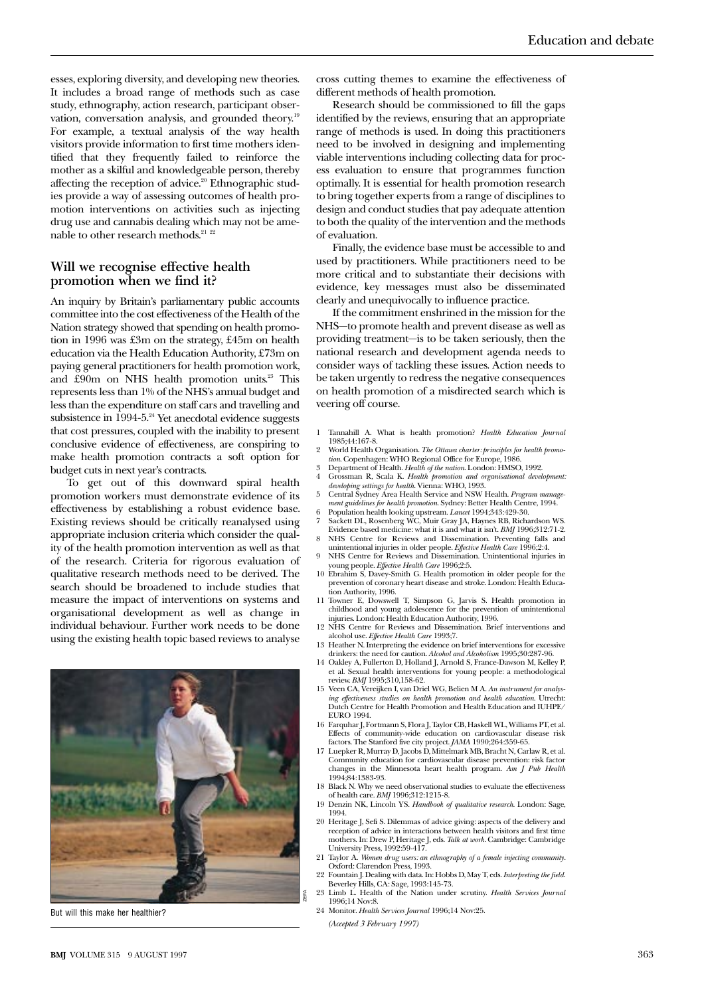esses, exploring diversity, and developing new theories. It includes a broad range of methods such as case study, ethnography, action research, participant observation, conversation analysis, and grounded theory.<sup>19</sup> For example, a textual analysis of the way health visitors provide information to first time mothers identified that they frequently failed to reinforce the mother as a skilful and knowledgeable person, thereby affecting the reception of advice.<sup>20</sup> Ethnographic studies provide a way of assessing outcomes of health promotion interventions on activities such as injecting drug use and cannabis dealing which may not be amenable to other research methods.<sup>21</sup> <sup>22</sup>

# **Will we recognise effective health promotion when we find it?**

An inquiry by Britain's parliamentary public accounts committee into the cost effectiveness of the Health of the Nation strategy showed that spending on health promotion in 1996 was £3m on the strategy, £45m on health education via the Health Education Authority, £73m on paying general practitioners for health promotion work, and £90m on NHS health promotion units.<sup>23</sup> This represents less than 1% of the NHS's annual budget and less than the expenditure on staff cars and travelling and subsistence in 1994-5.<sup>24</sup> Yet anecdotal evidence suggests that cost pressures, coupled with the inability to present conclusive evidence of effectiveness, are conspiring to make health promotion contracts a soft option for budget cuts in next year's contracts.

To get out of this downward spiral health promotion workers must demonstrate evidence of its effectiveness by establishing a robust evidence base. Existing reviews should be critically reanalysed using appropriate inclusion criteria which consider the quality of the health promotion intervention as well as that of the research. Criteria for rigorous evaluation of qualitative research methods need to be derived. The search should be broadened to include studies that measure the impact of interventions on systems and organisational development as well as change in individual behaviour. Further work needs to be done using the existing health topic based reviews to analyse



But will this make her healthier?

cross cutting themes to examine the effectiveness of different methods of health promotion.

Research should be commissioned to fill the gaps identified by the reviews, ensuring that an appropriate range of methods is used. In doing this practitioners need to be involved in designing and implementing viable interventions including collecting data for process evaluation to ensure that programmes function optimally. It is essential for health promotion research to bring together experts from a range of disciplines to design and conduct studies that pay adequate attention to both the quality of the intervention and the methods of evaluation.

Finally, the evidence base must be accessible to and used by practitioners. While practitioners need to be more critical and to substantiate their decisions with evidence, key messages must also be disseminated clearly and unequivocally to influence practice.

If the commitment enshrined in the mission for the NHS—to promote health and prevent disease as well as providing treatment—is to be taken seriously, then the national research and development agenda needs to consider ways of tackling these issues. Action needs to be taken urgently to redress the negative consequences on health promotion of a misdirected search which is veering off course.

- 1 Tannahill A. What is health promotion? *Health Education Journal* 1985;44:167-8.
- 2 World Health Organisation. *The Ottawa charter: principles for health promo-tion*. Copenhagen: WHO Regional Office for Europe, 1986.
- 3 Department of Health. *Health of the nation*. London: HMSO, 1992.
- 4 Grossman R, Scala K. *Health promotion and organisational development: developing settings for health*. Vienna: WHO, 1993.
- 5 Central Sydney Area Health Service and NSW Health. *Program management guidelines for health promotion*. Sydney: Better Health Centre, 1994. 6 Population health looking upstream. *Lancet* 1994;343:429-30.
- Sackett DL, Rosenberg WC, Muir Gray JA, Haynes RB, Richardson WS. Evidence based medicine: what it is and what it isn't. *BMJ* 1996;312:71-2.
- **8 NHS** Centre for Reviews and Dissemination. Preventing falls and unintentional injuries in older people. *Effective Health Care* 1996;2:4.
- 9 NHS Centre for Reviews and Dissemination. Unintentional injuries in young people. *Effective Health Care* 1996;2:5. 10 Ebrahim S, Davey-Smith G. Health promotion in older people for the
- prevention of coronary heart disease and stroke. London: Health Education Authority, 1996.
- 11 Towner E, Dowswell T, Simpson G, Jarvis S. Health promotion in childhood and young adolescence for the prevention of unintentional injuries. London: Health Education Authority, 1996.
- 12 NHS Centre for Reviews and Dissemination. Brief interventions and alcohol use. *Effective Health Care* 1993;7.
- 13 Heather N. Interpreting the evidence on brief interventions for excessive drinkers: the need for caution. *Alcohol and Alcoholism* 1995;30:287-96.
- 14 Oakley A, Fullerton D, Holland J, Arnold S, France-Dawson M, Kelley P, et al. Sexual health interventions for young people: a methodological review. *BMJ* 1995;310,158-62.
- 15 Veen CA, Vereijken I, van Driel WG, Belien M A. *An instrument for analysing effectiveness studies on health promotion and health education*. Utrecht: Dutch Centre for Health Promotion and Health Education and IUHPE/ EURO 1994.
- 16 Farquhar J, Fortmann S, Flora J, Taylor CB, Haskell WL, Williams PT, et al. Effects of community-wide education on cardiovascular disease risk factors. The Stanford five city project. *JAMA* 1990;264:359-65.
- 17 Luepker R, Murray D, Jacobs D, Mittelmark MB, Bracht N, Carlaw R, et al. Community education for cardiovascular disease prevention: risk factor changes in the Minnesota heart health program. *Am J Pub Health* 1994;84:1383-93.
- 18 Black N. Why we need observational studies to evaluate the effectiveness of health care. *BMJ* 1996;312:1215-8.
- 19 Denzin NK, Lincoln YS. *Handbook of qualitative research*. London: Sage, 1994. 20 Heritage J, Sefi S. Dilemmas of advice giving: aspects of the delivery and
- reception of advice in interactions between health visitors and first time mothers. In: Drew P, Heritage J, eds. *Talk at work*. Cambridge: Cambridge University Press, 1992:59-417.
- 21 Taylor A. *Women drug users: an ethnography of a female injecting community*. Oxford: Clarendon Press, 1993.
- 22 Fountain J. Dealing with data. In: Hobbs D, May T, eds. *Interpreting the field*. Beverley Hills, CA: Sage, 1993:145-73. 23 Limb L. Health of the Nation under scrutiny. *Health Services Journal*
- 1996;14 Nov:8. 24 Monitor. *Health Services Journal* 1996;14 Nov:25.

*(Accepted 3 February 1997)*

ZEFA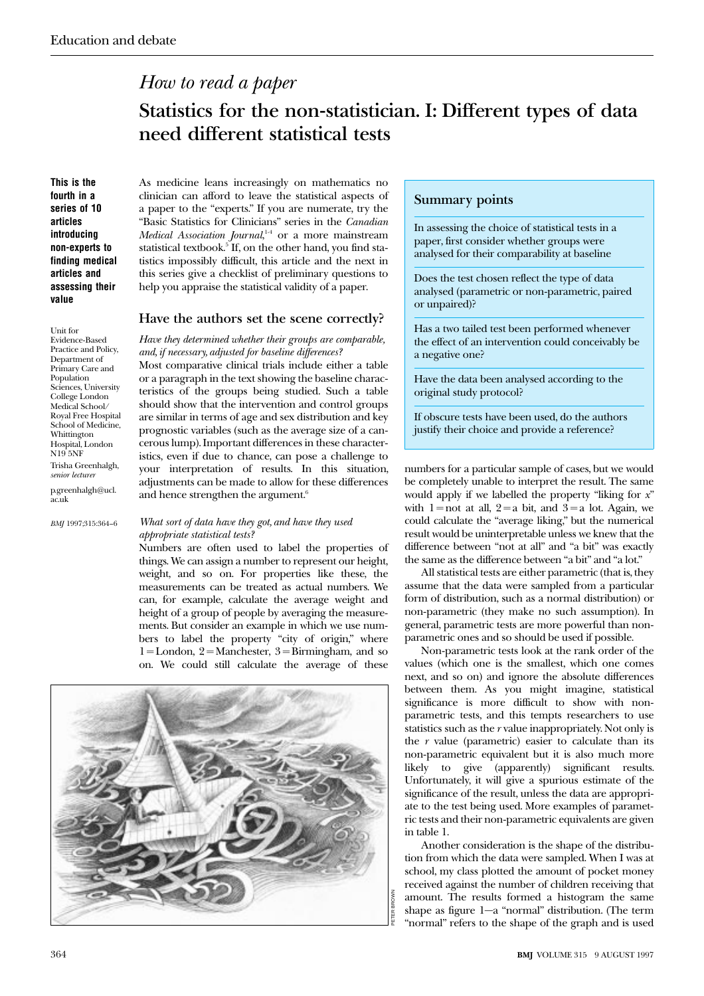# *How to read a paper*

# **Statistics for the non-statistician. I: Different types of data need different statistical tests**

**This is the fourth in a series of 10 articles introducing non-experts to finding medical articles and assessing their value**

Unit for Evidence-Based Practice and Policy, Department of Primary Care and Population Sciences, University College London Medical School/ Royal Free Hospital School of Medicine, Whittington Hospital, London N19 5NF Trisha Greenhalgh, *senior lecturer*

p.greenhalgh@ucl.  $ac<sub>u</sub>k$ 

*BMJ* 1997;315:364–6

As medicine leans increasingly on mathematics no clinician can afford to leave the statistical aspects of a paper to the "experts." If you are numerate, try the "Basic Statistics for Clinicians" series in the *Canadian Medical Association Journal*, 1-4 or a more mainstream statistical textbook.<sup>5</sup> If, on the other hand, you find statistics impossibly difficult, this article and the next in this series give a checklist of preliminary questions to help you appraise the statistical validity of a paper.

# **Have the authors set the scene correctly?**

*Have they determined whether their groups are comparable, and, if necessary, adjusted for baseline differences?*

Most comparative clinical trials include either a table or a paragraph in the text showing the baseline characteristics of the groups being studied. Such a table should show that the intervention and control groups are similar in terms of age and sex distribution and key prognostic variables (such as the average size of a cancerous lump). Important differences in these characteristics, even if due to chance, can pose a challenge to your interpretation of results. In this situation, adjustments can be made to allow for these differences and hence strengthen the argument. $6$ 

#### *What sort of data have they got, and have they used appropriate statistical tests?*

Numbers are often used to label the properties of things. We can assign a number to represent our height, weight, and so on. For properties like these, the measurements can be treated as actual numbers. We can, for example, calculate the average weight and height of a group of people by averaging the measurements. But consider an example in which we use numbers to label the property "city of origin," where 1 = London, 2 = Manchester, 3 = Birmingham, and so on. We could still calculate the average of these



# **Summary points**

In assessing the choice of statistical tests in a paper, first consider whether groups were analysed for their comparability at baseline

Does the test chosen reflect the type of data analysed (parametric or non-parametric, paired or unpaired)?

Has a two tailed test been performed whenever the effect of an intervention could conceivably be a negative one?

Have the data been analysed according to the original study protocol?

If obscure tests have been used, do the authors justify their choice and provide a reference?

numbers for a particular sample of cases, but we would be completely unable to interpret the result. The same would apply if we labelled the property "liking for *x*" with 1 = not at all, 2 = a bit, and 3 = a lot. Again, we could calculate the "average liking," but the numerical result would be uninterpretable unless we knew that the difference between "not at all" and "a bit" was exactly the same as the difference between "a bit" and "a lot."

All statistical tests are either parametric (that is, they assume that the data were sampled from a particular form of distribution, such as a normal distribution) or non-parametric (they make no such assumption). In general, parametric tests are more powerful than nonparametric ones and so should be used if possible.

Non-parametric tests look at the rank order of the values (which one is the smallest, which one comes next, and so on) and ignore the absolute differences between them. As you might imagine, statistical significance is more difficult to show with nonparametric tests, and this tempts researchers to use statistics such as the *r* value inappropriately. Not only is the *r* value (parametric) easier to calculate than its non-parametric equivalent but it is also much more likely to give (apparently) significant results. Unfortunately, it will give a spurious estimate of the significance of the result, unless the data are appropriate to the test being used. More examples of parametric tests and their non-parametric equivalents are given in table 1.

Another consideration is the shape of the distribution from which the data were sampled. When I was at school, my class plotted the amount of pocket money received against the number of children receiving that amount. The results formed a histogram the same shape as figure 1—a "normal" distribution. (The term "normal" refers to the shape of the graph and is used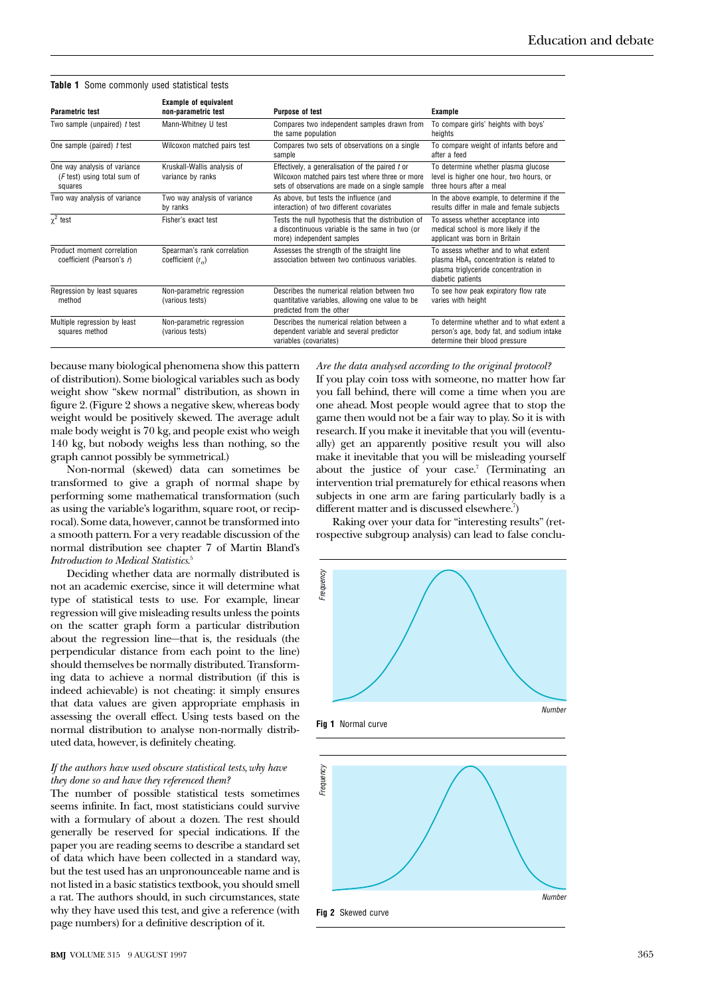#### **Table 1** Some commonly used statistical tests

| <b>Parametric test</b>                                                   | <b>Example of equivalent</b><br>non-parametric test       | Purpose of test                                                                                                                                         | Example                                                                                                                                                  |
|--------------------------------------------------------------------------|-----------------------------------------------------------|---------------------------------------------------------------------------------------------------------------------------------------------------------|----------------------------------------------------------------------------------------------------------------------------------------------------------|
| Two sample (unpaired) t test                                             | Mann-Whitney U test                                       | Compares two independent samples drawn from<br>the same population                                                                                      | To compare girls' heights with boys'<br>heights                                                                                                          |
| One sample (paired) t test                                               | Wilcoxon matched pairs test                               | Compares two sets of observations on a single<br>sample                                                                                                 | To compare weight of infants before and<br>after a feed                                                                                                  |
| One way analysis of variance<br>$(F$ test) using total sum of<br>squares | Kruskall-Wallis analysis of<br>variance by ranks          | Effectively, a generalisation of the paired t or<br>Wilcoxon matched pairs test where three or more<br>sets of observations are made on a single sample | To determine whether plasma glucose<br>level is higher one hour, two hours, or<br>three hours after a meal                                               |
| Two way analysis of variance                                             | Two way analysis of variance<br>by ranks                  | As above, but tests the influence (and<br>interaction) of two different covariates                                                                      | In the above example, to determine if the<br>results differ in male and female subjects                                                                  |
| $\gamma^2$ test                                                          | Fisher's exact test                                       | Tests the null hypothesis that the distribution of<br>a discontinuous variable is the same in two (or<br>more) independent samples                      | To assess whether acceptance into<br>medical school is more likely if the<br>applicant was born in Britain                                               |
| Product moment correlation<br>coefficient (Pearson's $r$ )               | Spearman's rank correlation<br>coefficient $(r_{\alpha})$ | Assesses the strength of the straight line<br>association between two continuous variables.                                                             | To assess whether and to what extent<br>plasma HbA <sub>1</sub> concentration is related to<br>plasma triglyceride concentration in<br>diabetic patients |
| Regression by least squares<br>method                                    | Non-parametric regression<br>(various tests)              | Describes the numerical relation between two<br>quantitative variables, allowing one value to be<br>predicted from the other                            | To see how peak expiratory flow rate<br>varies with height                                                                                               |
| Multiple regression by least<br>squares method                           | Non-parametric regression<br>(various tests)              | Describes the numerical relation between a<br>dependent variable and several predictor<br>variables (covariates)                                        | To determine whether and to what extent a<br>person's age, body fat, and sodium intake<br>determine their blood pressure                                 |

because many biological phenomena show this pattern of distribution). Some biological variables such as body weight show "skew normal" distribution, as shown in figure 2. (Figure 2 shows a negative skew, whereas body weight would be positively skewed. The average adult male body weight is 70 kg, and people exist who weigh 140 kg, but nobody weighs less than nothing, so the graph cannot possibly be symmetrical.)

Non-normal (skewed) data can sometimes be transformed to give a graph of normal shape by performing some mathematical transformation (such as using the variable's logarithm, square root, or reciprocal). Some data, however, cannot be transformed into a smooth pattern. For a very readable discussion of the normal distribution see chapter 7 of Martin Bland's *Introduction to Medical Statistics.*<sup>5</sup>

Deciding whether data are normally distributed is not an academic exercise, since it will determine what type of statistical tests to use. For example, linear regression will give misleading results unless the points on the scatter graph form a particular distribution about the regression line—that is, the residuals (the perpendicular distance from each point to the line) should themselves be normally distributed. Transforming data to achieve a normal distribution (if this is indeed achievable) is not cheating: it simply ensures that data values are given appropriate emphasis in assessing the overall effect. Using tests based on the normal distribution to analyse non-normally distributed data, however, is definitely cheating.

### *If the authors have used obscure statistical tests, why have they done so and have they referenced them?*

The number of possible statistical tests sometimes seems infinite. In fact, most statisticians could survive with a formulary of about a dozen. The rest should generally be reserved for special indications. If the paper you are reading seems to describe a standard set of data which have been collected in a standard way, but the test used has an unpronounceable name and is not listed in a basic statistics textbook, you should smell a rat. The authors should, in such circumstances, state why they have used this test, and give a reference (with page numbers) for a definitive description of it.

*Are the data analysed according to the original protocol?* If you play coin toss with someone, no matter how far you fall behind, there will come a time when you are one ahead. Most people would agree that to stop the game then would not be a fair way to play. So it is with research. If you make it inevitable that you will (eventually) get an apparently positive result you will also make it inevitable that you will be misleading yourself about the justice of your case.<sup>7</sup> (Terminating an intervention trial prematurely for ethical reasons when subjects in one arm are faring particularly badly is a different matter and is discussed elsewhere.<sup>7</sup>)

Raking over your data for "interesting results" (retrospective subgroup analysis) can lead to false conclu-